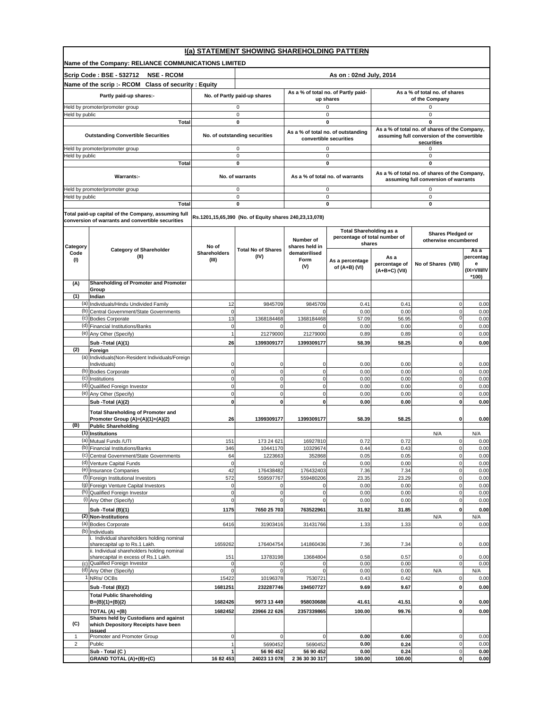|                  | I(a) STATEMENT SHOWING SHAREHOLDING PATTERN                                         |                            |                                                        |                                 |                                                                 |                                                 |                                                              |                |  |
|------------------|-------------------------------------------------------------------------------------|----------------------------|--------------------------------------------------------|---------------------------------|-----------------------------------------------------------------|-------------------------------------------------|--------------------------------------------------------------|----------------|--|
|                  | Name of the Company: RELIANCE COMMUNICATIONS LIMITED                                |                            |                                                        |                                 |                                                                 |                                                 |                                                              |                |  |
|                  | Scrip Code: BSE - 532712<br><b>NSE - RCOM</b>                                       |                            |                                                        |                                 | As on: 02nd July, 2014                                          |                                                 |                                                              |                |  |
|                  | Name of the scrip :- RCOM Class of security : Equity                                |                            |                                                        |                                 |                                                                 |                                                 |                                                              |                |  |
|                  | Partly paid-up shares:-                                                             |                            | No. of Partly paid-up shares                           |                                 | As a % of total no. of Partly paid-<br>up shares                | As a % of total no, of shares<br>of the Company |                                                              |                |  |
|                  | Held by promoter/promoter group                                                     |                            | 0                                                      |                                 | 0                                                               |                                                 | 0                                                            |                |  |
| Held by public   |                                                                                     |                            | 0                                                      |                                 | $\mathbf 0$                                                     |                                                 | $\mathbf 0$                                                  |                |  |
| Total            |                                                                                     |                            | 0                                                      |                                 | 0                                                               |                                                 | $\mathbf 0$<br>As a % of total no. of shares of the Company, |                |  |
|                  | <b>Outstanding Convertible Securities</b>                                           |                            | No. of outstanding securities                          |                                 | As a % of total no. of outstanding<br>convertible securities    |                                                 | assuming full conversion of the convertible                  |                |  |
|                  | -leld by promoter/promoter group                                                    |                            | 0                                                      |                                 | 0                                                               |                                                 | securities<br>0                                              |                |  |
| leld by public   | <b>Total</b>                                                                        |                            | $\mathbf 0$<br>0                                       |                                 | 0<br>0                                                          |                                                 | $\mathbf 0$<br>0                                             |                |  |
|                  |                                                                                     |                            |                                                        |                                 |                                                                 |                                                 | As a % of total no. of shares of the Company,                |                |  |
|                  | Warrants:-                                                                          |                            | No. of warrants                                        |                                 | As a % of total no. of warrants                                 |                                                 | assuming full conversion of warrants                         |                |  |
|                  | leld by promoter/promoter group                                                     |                            | 0                                                      |                                 | 0                                                               |                                                 | $\mathbf 0$                                                  |                |  |
| Held by public   | Total                                                                               |                            | 0<br>0                                                 |                                 | $\pmb{0}$<br>0                                                  |                                                 | $\pmb{0}$<br>0                                               |                |  |
|                  | Total paid-up capital of the Company, assuming full                                 |                            |                                                        |                                 |                                                                 |                                                 |                                                              |                |  |
|                  | conversion of warrants and convertible securities                                   |                            | Rs.1201,15,65,390 (No. of Equity shares 240,23,13,078) |                                 |                                                                 |                                                 |                                                              |                |  |
|                  |                                                                                     |                            |                                                        | Number of                       | <b>Total Shareholding as a</b><br>percentage of total number of |                                                 | <b>Shares Pledged or</b><br>otherwise encumbered             |                |  |
| Category<br>Code | <b>Category of Shareholder</b>                                                      | No of<br>Shareholders      | <b>Total No of Shares</b>                              | shares held in<br>dematerilised | shares                                                          |                                                 |                                                              | Asa            |  |
| (1)              | (II)                                                                                | (III)                      | (IV)                                                   | Form                            | As a percentage                                                 | As a                                            | No of Shares (VIII)                                          | percentag<br>е |  |
|                  |                                                                                     |                            |                                                        | (V)                             | of (A+B) (VI)                                                   | percentage of<br>$(A+B+C)$ (VII)                |                                                              | (IX=VIII/IV    |  |
| (A)              | Shareholding of Promoter and Promoter                                               |                            |                                                        |                                 |                                                                 |                                                 |                                                              | *100)          |  |
|                  | Group                                                                               |                            |                                                        |                                 |                                                                 |                                                 |                                                              |                |  |
| (1)              | Indian<br>(a) Individuals/Hindu Undivided Family                                    | 12                         | 9845709                                                | 9845709                         | 0.41                                                            | 0.41                                            | 0                                                            | 0.00           |  |
|                  | (b) Central Government/State Governments                                            | $\mathbf 0$                |                                                        |                                 | 0.00                                                            | 0.00                                            | 0                                                            | 0.00           |  |
| (d)              | (c) Bodies Corporate<br>Financial Institutions/Banks                                | 13<br>$\mathbf 0$          | 1368184468                                             | 1368184468                      | 57.09<br>0.00                                                   | 56.95<br>0.00                                   | Ó<br>$\overline{0}$                                          | 0.00<br>0.00   |  |
| (e)              | Any Other (Specify)                                                                 |                            | 21279000                                               | 21279000                        | 0.89                                                            | 0.89                                            | 0                                                            | 0.00           |  |
|                  | Sub -Total (A)(1)                                                                   | 26                         | 1399309177                                             | 1399309177                      | 58.39                                                           | 58.25                                           | $\mathbf{0}$                                                 | 0.00           |  |
| (2)              | Foreign<br>(a) Individuals (Non-Resident Individuals/Foreign                        |                            |                                                        |                                 |                                                                 |                                                 |                                                              |                |  |
|                  | Individuals)                                                                        | 0                          | 0                                                      | $\mathbf 0$                     | 0.00                                                            | 0.00                                            | 0                                                            | 0.00           |  |
|                  | (b) Bodies Corporate<br>(c) Institutions                                            | $\mathbf 0$<br>$\mathbf 0$ | $\mathbf 0$<br>$\mathbf 0$                             | $\mathbf 0$<br>$\mathbf 0$      | 0.00<br>0.00                                                    | 0.00<br>0.00                                    | $\overline{0}$<br>0                                          | 0.00<br>0.00   |  |
|                  | (d) Qualified Foreign Investor                                                      | $\mathbf 0$                | $\mathbf 0$                                            | $\mathbf 0$                     | 0.00                                                            | 0.00                                            | 0                                                            | 0.00           |  |
|                  | (e) Any Other (Specify)                                                             | $\mathbf 0$                | $\mathbf 0$                                            | $\mathbf 0$                     | 0.00                                                            | 0.00                                            | $\mathbf 0$                                                  | 0.00           |  |
|                  | Sub -Total (A)(2)                                                                   | $\mathbf{0}$               | $\mathbf{0}$                                           | $\mathbf{0}$                    | 0.00                                                            | 0.00                                            | 0                                                            | 0.00           |  |
|                  | <b>Total Shareholding of Promoter and</b><br>Promoter Group (A)=(A)(1)+(A)(2)       | 26                         | 1399309177                                             | 1399309177                      | 58.39                                                           | 58.25                                           | 0                                                            | 0.00           |  |
| (B)              | <b>Public Shareholding</b>                                                          |                            |                                                        |                                 |                                                                 |                                                 |                                                              |                |  |
|                  | (1) Institutions<br>(a) Mutual Funds /UTI                                           | 151                        | 173 24 621                                             | 16927810                        | 0.72                                                            | 0.72                                            | N/A<br>0                                                     | N/A<br>0.00    |  |
|                  | (b) Financial Institutions/Banks                                                    | 346                        | 10441170                                               | 10329674                        | 0.44                                                            | 0.43                                            | 0                                                            | 0.00           |  |
|                  | (c) Central Government/State Governments<br>(d) Venture Capital Funds               | 64<br>$\mathbf 0$          | 1223663                                                | 352868                          | 0.05<br>0.00                                                    | 0.05<br>0.00                                    | 0<br>Ó                                                       | 0.00<br>0.00   |  |
|                  | (e) Insurance Companies                                                             | 42                         | 176438482                                              | 176432403                       | 7.36                                                            | 7.34                                            | $\overline{0}$                                               | 0.00           |  |
|                  | (f) Foreign Institutional Investors                                                 | 572                        | 559597767                                              | 559480206                       | 23.35                                                           | 23.29                                           | 0                                                            | 0.00           |  |
|                  | (g) Foreign Venture Capital Investors<br>(h) Qualified Foreign Investor             | 0<br>$\mathbf 0$           | $\mathbf 0$<br>0                                       | $\mathbf 0$<br>$\mathbf 0$      | 0.00<br>0.00                                                    | 0.00<br>0.00                                    | 0<br>0                                                       | 0.00<br>0.00   |  |
|                  | (i) Any Other (Specify)                                                             | $\mathbf 0$                | $\Omega$                                               | $\overline{0}$                  | 0.00                                                            | 0.00                                            | 0                                                            | 0.00           |  |
|                  | Sub -Total (B)(1)<br>(2) Non-Institutions                                           | 1175                       | 7650 25 703                                            | 763522961                       | 31.92                                                           | 31.85                                           | 0                                                            | 0.00<br>N/A    |  |
|                  | (a) Bodies Corporate                                                                | 6416                       | 31903416                                               | 31431766                        | 1.33                                                            | 1.33                                            | N/A<br>$\overline{0}$                                        | 0.00           |  |
|                  | (b) Individuals<br>i. Individual shareholders holding nominal                       |                            |                                                        |                                 |                                                                 |                                                 |                                                              |                |  |
|                  | sharecapital up to Rs.1 Lakh.                                                       | 1659262                    | 176404754                                              | 141860436                       | 7.36                                                            | 7.34                                            | 0                                                            | 0.00           |  |
|                  | ii. Individual shareholders holding nominal<br>sharecapital in excess of Rs.1 Lakh. | 151                        | 13783198                                               | 13684804                        | 0.58                                                            | 0.57                                            | 0                                                            | 0.00           |  |
|                  | (c) Qualified Foreign Investor                                                      | $\mathbf 0$                | 0                                                      |                                 | 0.00                                                            | 0.00                                            | 0                                                            | 0.00           |  |
|                  | (d) Any Other (Specify)<br>NRIs/OCBs                                                | $\mathbf 0$<br>15422       | 0<br>10196378                                          | $\mathbf 0$<br>7530721          | 0.00<br>0.43                                                    | 0.00<br>0.42                                    | N/A<br>0                                                     | N/A<br>0.00    |  |
|                  | Sub - Total (B)(2)                                                                  | 1681251                    | 232287746                                              | 194507727                       | 9.69                                                            | 9.67                                            | 0                                                            | 0.00           |  |
|                  | <b>Total Public Shareholding</b>                                                    |                            |                                                        |                                 |                                                                 |                                                 |                                                              |                |  |
|                  | $B=(B)(1)+(B)(2)$<br>TOTAL (A) +(B)                                                 | 1682426<br>1682452         | 9973 13 449<br>23966 22 626                            | 958030688<br>2357339865         | 41.61<br>100.00                                                 | 41.51<br>99.76                                  | 0<br>0                                                       | 0.00<br>0.00   |  |
|                  | Shares held by Custodians and against                                               |                            |                                                        |                                 |                                                                 |                                                 |                                                              |                |  |
| (C)              | which Depository Receipts have been<br>issued                                       |                            |                                                        |                                 |                                                                 |                                                 |                                                              |                |  |
| $\mathbf{1}$     | Promoter and Promoter Group                                                         | 0                          | $\mathbf 0$                                            | $\mathbf 0$                     | 0.00                                                            | 0.00                                            | $\pmb{0}$<br>$\mathbf 0$                                     | 0.00           |  |
| $\overline{c}$   | Public<br>Sub - Total (C)                                                           | $\overline{1}$             | 5690452<br>56 90 452                                   | 5690452<br>56 90 452            | 0.00<br>0.00                                                    | 0.24<br>0.24                                    | 0                                                            | 0.00<br>0.00   |  |
|                  | GRAND TOTAL (A)+(B)+(C)                                                             | 16 82 453                  | 24023 13 078                                           | 2 36 30 30 317                  | 100.00                                                          | 100.00                                          | 0                                                            | 0.00           |  |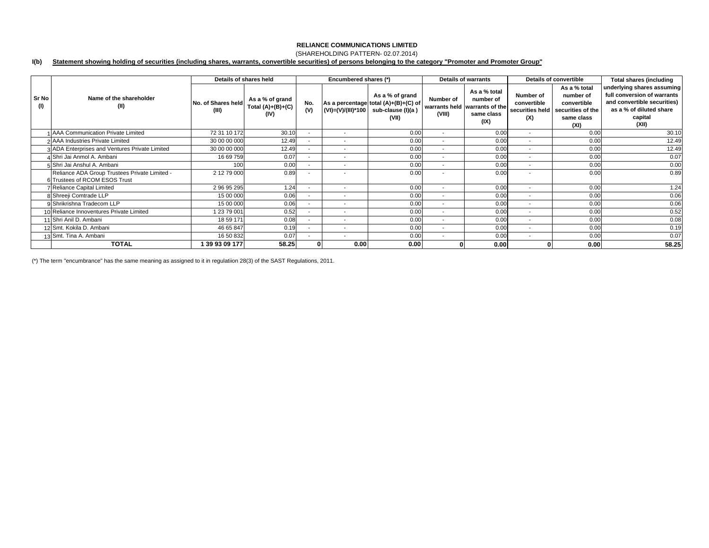## (SHAREHOLDING PATTERN- 02.07.2014)

#### **I(b) Statement showing holding of securities (including shares, warrants, convertible securities) of persons belonging to the category "Promoter and Promoter Group"**

|              |                                                                                | Details of shares held      |                                                |                          | Encumbered shares (*)    |                                                                                                            |                          | <b>Details of warrants</b>                                                       |                                                    | Details of convertible                                                              | <b>Total shares (including</b>                                                                                                          |
|--------------|--------------------------------------------------------------------------------|-----------------------------|------------------------------------------------|--------------------------|--------------------------|------------------------------------------------------------------------------------------------------------|--------------------------|----------------------------------------------------------------------------------|----------------------------------------------------|-------------------------------------------------------------------------------------|-----------------------------------------------------------------------------------------------------------------------------------------|
| Sr No<br>(1) | Name of the shareholder<br>(II)                                                | No. of Shares held<br>(III) | As a % of grand<br>Total $(A)+(B)+(C)$<br>(IV) | No.<br>(V)               |                          | As a % of grand<br>As a percentage total (A)+(B)+(C) of<br>(VI)=(V)/(III)*100   sub-clause (I)(a)<br>(VII) | Number of<br>(VIII)      | As a % total<br>number of<br>warrants held warrants of the<br>same class<br>(IX) | Number of<br>convertible<br>securities held<br>(X) | As a % total<br>number of<br>convertible<br>securities of the<br>same class<br>(XI) | underlying shares assuming<br>full conversion of warrants<br>and convertible securities)<br>as a % of diluted share<br>capital<br>(XII) |
|              | AAA Communication Private Limited                                              | 72 31 10 172                | 30.10                                          | ۰.                       | $\overline{\phantom{a}}$ | 0.00                                                                                                       | $\overline{\phantom{a}}$ | 0.00                                                                             | $\overline{\phantom{a}}$                           | 0.00                                                                                | 30.10                                                                                                                                   |
|              | 2 AAA Industries Private Limited                                               | 30 00 00 000                | 12.49                                          | $\overline{\phantom{a}}$ | $\overline{\phantom{a}}$ | 0.00                                                                                                       | $\overline{\phantom{a}}$ | 0.00                                                                             | $\overline{\phantom{a}}$                           | 0.00                                                                                | 12.49                                                                                                                                   |
|              | 3 ADA Enterprises and Ventures Private Limited                                 | 30 00 00 000                | 12.49                                          | $\overline{\phantom{a}}$ | $\overline{\phantom{a}}$ | 0.00                                                                                                       | $\overline{\phantom{a}}$ | 0.00                                                                             | $\overline{\phantom{a}}$                           | 0.00                                                                                | 12.49                                                                                                                                   |
|              | 4 Shri Jai Anmol A. Ambani                                                     | 16 69 759                   | 0.07                                           | $\overline{\phantom{a}}$ | $\overline{\phantom{a}}$ | 0.00                                                                                                       | $\overline{\phantom{a}}$ | 0.00                                                                             | $\overline{\phantom{a}}$                           | 0.00                                                                                | 0.07                                                                                                                                    |
|              | 5 Shri Jai Anshul A. Ambani                                                    | 100                         | 0.00                                           | $\overline{\phantom{a}}$ | $\overline{\phantom{a}}$ | 0.00                                                                                                       | $\sim$                   | 0.00                                                                             | $\overline{\phantom{a}}$                           | 0.00                                                                                | 0.00                                                                                                                                    |
|              | Reliance ADA Group Trustees Private Limited -<br>6 Trustees of RCOM ESOS Trust | 2 12 79 000                 | 0.89                                           |                          | $\overline{\phantom{a}}$ | 0.00                                                                                                       |                          | 0.00                                                                             | $\overline{\phantom{a}}$                           | 0.00                                                                                | 0.89                                                                                                                                    |
|              | Reliance Capital Limited                                                       | 2 96 95 295                 | 1.24                                           | $\overline{\phantom{a}}$ | $\sim$                   | 0.00                                                                                                       | $\overline{\phantom{0}}$ | 0.00                                                                             | $\overline{\phantom{a}}$                           | 0.00                                                                                | 1.24                                                                                                                                    |
|              | 8 Shreeji Comtrade LLP                                                         | 15 00 000                   | 0.06                                           |                          | $\overline{\phantom{a}}$ | 0.00                                                                                                       | $\overline{\phantom{a}}$ | 0.00                                                                             | $\overline{\phantom{a}}$                           | 0.00                                                                                | 0.06                                                                                                                                    |
|              | 9 Shrikrishna Tradecom LLP                                                     | 15 00 000                   | 0.06                                           | $\overline{\phantom{a}}$ | $\overline{\phantom{a}}$ | 0.00                                                                                                       | $\overline{\phantom{a}}$ | 0.00                                                                             | $\overline{\phantom{a}}$                           | 0.00                                                                                | 0.06                                                                                                                                    |
|              | 10 Reliance Innoventures Private Limited                                       | 1 23 79 001                 | 0.52                                           | $\sim$                   | $\overline{\phantom{a}}$ | 0.00                                                                                                       | $\overline{\phantom{a}}$ | 0.00                                                                             | $\overline{\phantom{a}}$                           | 0.00                                                                                | 0.52                                                                                                                                    |
|              | 1 Shri Anil D. Ambani                                                          | 18 59 171                   | 0.08                                           | $\overline{\phantom{a}}$ | $\overline{\phantom{a}}$ | 0.00                                                                                                       | $\overline{\phantom{a}}$ | 0.00                                                                             | $\overline{\phantom{a}}$                           | 0.00                                                                                | 0.08                                                                                                                                    |
|              | 12 Smt. Kokila D. Ambani                                                       | 46 65 847                   | 0.19                                           | $\overline{\phantom{a}}$ | $\overline{\phantom{a}}$ | 0.00                                                                                                       | $\overline{\phantom{a}}$ | 0.00                                                                             | $\overline{\phantom{a}}$                           | 0.00                                                                                | 0.19                                                                                                                                    |
|              | 13 Smt. Tina A. Ambani                                                         | 16 50 832                   | 0.07                                           |                          | $\overline{\phantom{a}}$ | 0.00                                                                                                       | $\sim$                   | 0.00                                                                             | $\overline{\phantom{a}}$                           | 0.00                                                                                | 0.07                                                                                                                                    |
|              | <b>TOTAL</b>                                                                   | 39 93 09 177                | 58.25                                          |                          | 0.00                     | 0.00                                                                                                       |                          | 0.00                                                                             |                                                    | 0.00                                                                                | 58.25                                                                                                                                   |

(\*) The term "encumbrance" has the same meaning as assigned to it in regulatiion 28(3) of the SAST Regulations, 2011.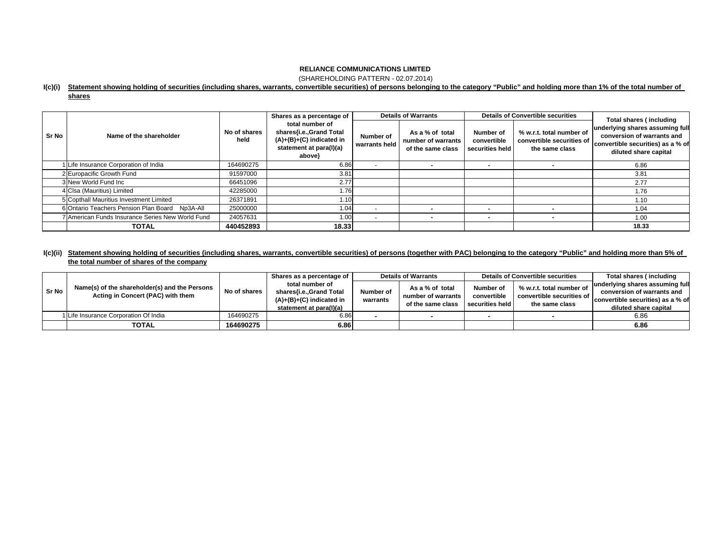(SHAREHOLDING PATTERN - 02.07.2014)

### **I(c)(i) Statement showing holding of securities (including shares, warrants, convertible securities) of persons belonging to the category "Public" and holding more than 1% of the total number of**

| ar<br>П | ۰ |
|---------|---|
|         |   |

|       |                                                  |                      | Shares as a percentage of                                                                                     |                            | <b>Details of Warrants</b>                                 |                                             | <b>Details of Convertible securities</b>                                | Total shares (including                                                                                                     |
|-------|--------------------------------------------------|----------------------|---------------------------------------------------------------------------------------------------------------|----------------------------|------------------------------------------------------------|---------------------------------------------|-------------------------------------------------------------------------|-----------------------------------------------------------------------------------------------------------------------------|
| Sr No | Name of the shareholder                          | No of shares<br>held | total number of<br>shares{i.e.,Grand Total<br>$(A)+(B)+(C)$ indicated in<br>statement at para(I)(a)<br>above} | Number of<br>warrants held | As a % of total<br>number of warrants<br>of the same class | Number of<br>convertible<br>securities held | % w.r.t. total number of<br>convertible securities of<br>the same class | underlying shares assuming full<br>conversion of warrants and<br>convertible securities) as a % of<br>diluted share capital |
|       | Life Insurance Corporation of India              | 164690275            | 6.86                                                                                                          | $\overline{\phantom{a}}$   |                                                            |                                             |                                                                         | 6.86                                                                                                                        |
|       | 2 Europacific Growth Fund                        | 91597000             | 3.81                                                                                                          |                            |                                                            |                                             |                                                                         | 3.81                                                                                                                        |
|       | 3 New World Fund Inc                             | 66451096             | 2.77                                                                                                          |                            |                                                            |                                             |                                                                         | 2.77                                                                                                                        |
|       | 4 Clsa (Mauritius) Limited                       | 42285000             | 1.76                                                                                                          |                            |                                                            |                                             |                                                                         | 1.76                                                                                                                        |
|       | 5 Copthall Mauritius Investment Limited          | 26371891             | l.10                                                                                                          |                            |                                                            |                                             |                                                                         | 1.10                                                                                                                        |
|       | 6 Ontario Teachers Pension Plan Board Np3A-All   | 25000000             | 1.04                                                                                                          | $\overline{\phantom{a}}$   |                                                            |                                             |                                                                         | 1.04                                                                                                                        |
|       | 7 American Funds Insurance Series New World Fund | 24057631             | 1.00                                                                                                          | $\sim$                     |                                                            | $\overline{\phantom{a}}$                    |                                                                         | 1.00                                                                                                                        |
|       | <b>TOTAL</b>                                     | 440452893            | 18.33                                                                                                         |                            |                                                            |                                             |                                                                         | 18.33                                                                                                                       |

## **I(c)(ii) Statement showing holding of securities (including shares, warrants, convertible securities) of persons (together with PAC) belonging to the category "Public" and holding more than 5% of the total number of shares of the company**

|       | Name(s) of the shareholder(s) and the Persons<br>Acting in Concert (PAC) with them | No of shares | Shares as a percentage of                                                                           | <b>Details of Warrants</b> |                                         | Details of Convertible securities |                                                                         | Total shares (including                                                                  |
|-------|------------------------------------------------------------------------------------|--------------|-----------------------------------------------------------------------------------------------------|----------------------------|-----------------------------------------|-----------------------------------|-------------------------------------------------------------------------|------------------------------------------------------------------------------------------|
| Sr No |                                                                                    |              | total number of<br>shares{i.e.,Grand Total<br>$(A)+(B)+(C)$ indicated in<br>statement at para(I)(a) | Number of<br>warrants      | As a % of total                         | Number of                         | % w.r.t. total number of<br>convertible securities of<br>the same class | underlying shares assuming full                                                          |
|       |                                                                                    |              |                                                                                                     |                            | number of warrants<br>of the same class | convertible<br>securities held    |                                                                         | conversion of warrants and<br>convertible securities) as a % of<br>diluted share capital |
|       | 1 Life Insurance Corporation Of India                                              | 164690275    | 6.86                                                                                                |                            |                                         |                                   |                                                                         | 6.86                                                                                     |
|       | <b>TOTAL</b>                                                                       | 164690275    | 6.86                                                                                                |                            |                                         |                                   |                                                                         | 6.86                                                                                     |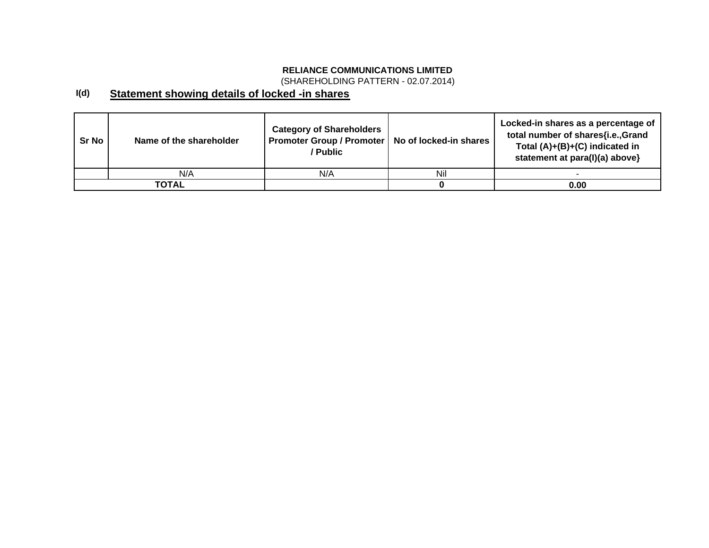(SHAREHOLDING PATTERN - 02.07.2014)

### **I(d) Statement showing details of locked -in shares**

| Sr No | Name of the shareholder | <b>Category of Shareholders</b><br>Promoter Group / Promoter   No of locked-in shares<br>/ Public |     | Locked-in shares as a percentage of<br>total number of shares{i.e.,Grand<br>Total $(A)+(B)+(C)$ indicated in<br>statement at para(I)(a) above} |
|-------|-------------------------|---------------------------------------------------------------------------------------------------|-----|------------------------------------------------------------------------------------------------------------------------------------------------|
|       | N/A                     | N/A                                                                                               | Nil |                                                                                                                                                |
|       | TOTAL                   |                                                                                                   |     | 0.00                                                                                                                                           |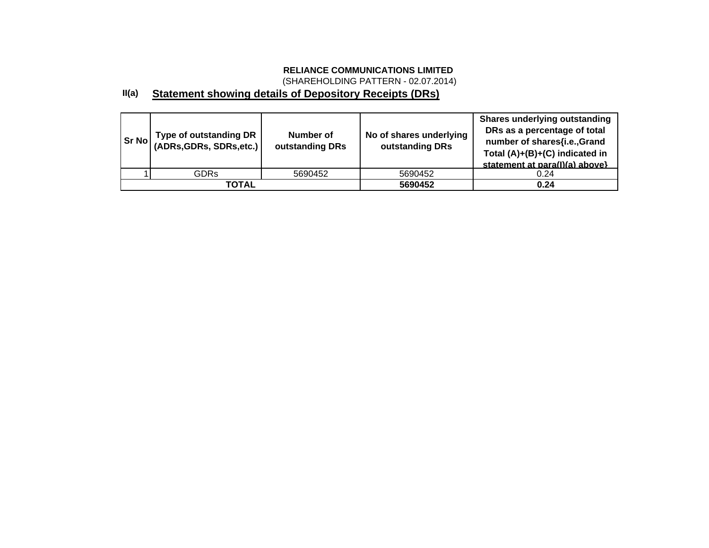(SHAREHOLDING PATTERN - 02.07.2014)

### **II(a) Statement showing details of Depository Receipts (DRs)**

| <b>Sr No</b> | <b>Type of outstanding DR</b><br>(ADRs,GDRs, SDRs.etc.) | Number of<br>outstanding DRs | No of shares underlying<br>outstanding DRs | <b>Shares underlying outstanding</b><br>DRs as a percentage of total<br>number of shares{i.e.,Grand<br>Total (A)+(B)+(C) indicated in<br>statement at para(I)(a) above} |
|--------------|---------------------------------------------------------|------------------------------|--------------------------------------------|-------------------------------------------------------------------------------------------------------------------------------------------------------------------------|
|              | <b>GDRs</b>                                             | 5690452                      | 5690452                                    | 0.24                                                                                                                                                                    |
|              | <b>TOTAL</b>                                            |                              | 5690452                                    | 0.24                                                                                                                                                                    |